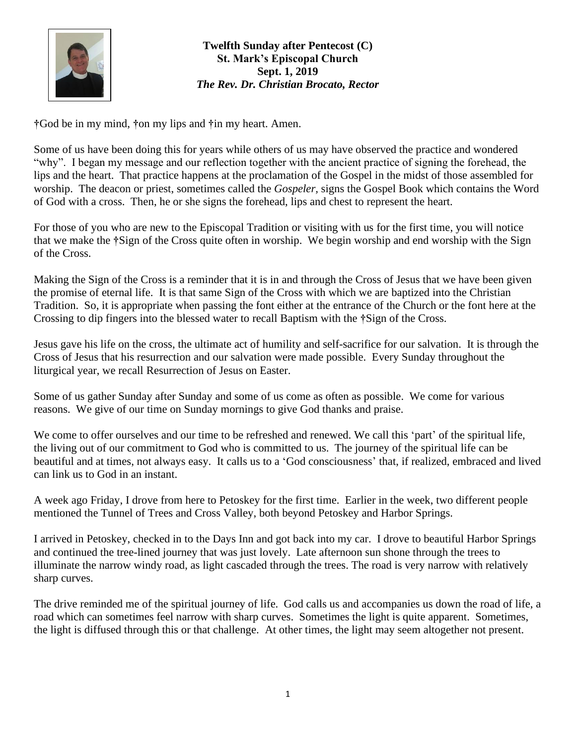

## **Twelfth Sunday after Pentecost (C) St. Mark's Episcopal Church Sept. 1, 2019** *The Rev. Dr. Christian Brocato, Rector*

**†**God be in my mind, **†**on my lips and **†**in my heart. Amen.

Some of us have been doing this for years while others of us may have observed the practice and wondered "why". I began my message and our reflection together with the ancient practice of signing the forehead, the lips and the heart. That practice happens at the proclamation of the Gospel in the midst of those assembled for worship. The deacon or priest, sometimes called the *Gospeler,* signs the Gospel Book which contains the Word of God with a cross. Then, he or she signs the forehead, lips and chest to represent the heart.

For those of you who are new to the Episcopal Tradition or visiting with us for the first time, you will notice that we make the **†**Sign of the Cross quite often in worship. We begin worship and end worship with the Sign of the Cross.

Making the Sign of the Cross is a reminder that it is in and through the Cross of Jesus that we have been given the promise of eternal life. It is that same Sign of the Cross with which we are baptized into the Christian Tradition. So, it is appropriate when passing the font either at the entrance of the Church or the font here at the Crossing to dip fingers into the blessed water to recall Baptism with the **†**Sign of the Cross.

Jesus gave his life on the cross, the ultimate act of humility and self-sacrifice for our salvation. It is through the Cross of Jesus that his resurrection and our salvation were made possible. Every Sunday throughout the liturgical year, we recall Resurrection of Jesus on Easter.

Some of us gather Sunday after Sunday and some of us come as often as possible. We come for various reasons. We give of our time on Sunday mornings to give God thanks and praise.

We come to offer ourselves and our time to be refreshed and renewed. We call this 'part' of the spiritual life, the living out of our commitment to God who is committed to us. The journey of the spiritual life can be beautiful and at times, not always easy. It calls us to a 'God consciousness' that, if realized, embraced and lived can link us to God in an instant.

A week ago Friday, I drove from here to Petoskey for the first time. Earlier in the week, two different people mentioned the Tunnel of Trees and Cross Valley, both beyond Petoskey and Harbor Springs.

I arrived in Petoskey, checked in to the Days Inn and got back into my car. I drove to beautiful Harbor Springs and continued the tree-lined journey that was just lovely. Late afternoon sun shone through the trees to illuminate the narrow windy road, as light cascaded through the trees. The road is very narrow with relatively sharp curves.

The drive reminded me of the spiritual journey of life. God calls us and accompanies us down the road of life, a road which can sometimes feel narrow with sharp curves. Sometimes the light is quite apparent. Sometimes, the light is diffused through this or that challenge. At other times, the light may seem altogether not present.